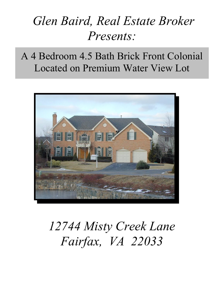## *Glen Baird, Real Estate Broker Presents:*

A 4 Bedroom 4.5 Bath Brick Front Colonial Located on Premium Water View Lot



# *12744 Misty Creek Lane Fairfax, VA 22033*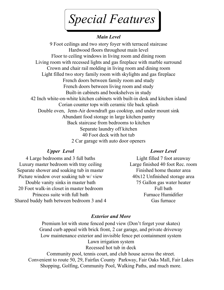*Special Features*

## *Main Level*

9 Foot ceilings and two story foyer with terraced staircase Hardwood floors throughout main level Floor to ceiling windows in living room and dining room Living room with recessed lights and gas fireplace with marble surround Crown and chair rail molding in living room and dining room Light filled two story family room with skylights and gas fireplace French doors between family room and study French doors between living room and study Built-in cabinets and bookshelves in study 42 Inch white-on-white kitchen cabinets with built-in desk and kitchen island Corian counter tops with ceramic tile back splash Double oven, Jenn-Air downdraft gas cooktop, and under mount sink Abundant food storage in large kitchen pantry Back staircase from bedrooms to kitchen Separate laundry off kitchen 40 Foot deck with hot tub 2 Car garage with auto door openers

## *Upper Level*

4 Large bedrooms and 3 full baths Luxury master bedroom with tray ceiling Separate shower and soaking tub in master Picture window over soaking tub w/ view Double vanity sinks in master bath 20 Foot walk-in closet in master bedroom Princess suite with full bath Shared buddy bath between bedroom 3 and 4

#### *Lower Level*

Light filled 7 foot areaway Large finished 40 foot Rec. room Finished home theater area 40x12 Unfinished storage area 75 Gallon gas water heater Full bath Furnace Humidifier Gas furnace

#### *Exterior and More*

Premium lot with stone fenced pond view (Don't forget your skates) Grand curb appeal with brick front, 2 car garage, and private driveway Low maintenance exterior and invisible fence pet containment system Lawn irrigation system Recessed hot tub in deck Community pool, tennis court, and club house across the street.

Convenient to route 50, 29, Fairfax County Parkway, Fair Oaks Mall, Fair Lakes Shopping, Golfing, Community Pool, Walking Paths, and much more.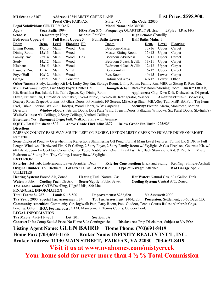| MLS#:FX3383367                                                                                                                |                                                                                                        | <b>Address: 12744 MISTY CREEK LANE</b> |                    |                                    |                            |                                                                                |                                 |             |                   | <b>List Price: \$595,900.</b>                                                                                           |  |  |
|-------------------------------------------------------------------------------------------------------------------------------|--------------------------------------------------------------------------------------------------------|----------------------------------------|--------------------|------------------------------------|----------------------------|--------------------------------------------------------------------------------|---------------------------------|-------------|-------------------|-------------------------------------------------------------------------------------------------------------------------|--|--|
|                                                                                                                               |                                                                                                        | <b>Postal City: FAIRFAX</b>            |                    |                                    |                            | State: VA                                                                      | <b>Zip Code: 22030</b>          |             |                   |                                                                                                                         |  |  |
| <b>Legal Subdivision: CENTURY OAK</b>                                                                                         |                                                                                                        |                                        |                    |                                    | <b>Model Name: MADISON</b> |                                                                                |                                 |             |                   |                                                                                                                         |  |  |
| Age:7                                                                                                                         | Year Built: 1994<br><b>Frequency: QUARTERLY #Lvls:3</b><br><b>HOA Fee: \$76</b><br>$#Fpl: 2$ (LR & FR) |                                        |                    |                                    |                            |                                                                                |                                 |             |                   |                                                                                                                         |  |  |
| Schools:<br><b>Elementary: Navy</b>                                                                                           |                                                                                                        | Middle: Franklin                       |                    |                                    |                            | <b>High School: Chantilly</b>                                                  |                                 |             |                   |                                                                                                                         |  |  |
| <b>Bedrooms Upper: 4</b>                                                                                                      |                                                                                                        | <b>Full Baths Upper: 3</b>             |                    |                                    |                            | <b>Full Baths Lower: 1</b>                                                     | <b>Half Baths Main: 1</b>       |             |                   |                                                                                                                         |  |  |
| <b>Room</b>                                                                                                                   | Dem.                                                                                                   | Level                                  | <b>Flooring FP</b> |                                    |                            | <b>Room</b>                                                                    |                                 | Dem.        | <b>Level</b>      | <b>Flooring</b>                                                                                                         |  |  |
| Living Room:                                                                                                                  | 19x13                                                                                                  | Main                                   | Wood               | Gas                                |                            | Bedroom-Master:                                                                |                                 | 17x16       | Upper             | Carpet                                                                                                                  |  |  |
| Dining Room:                                                                                                                  | 15x13                                                                                                  | Main                                   | Wood               |                                    |                            | Master-Sitting Room                                                            |                                 | 15x13       | Upper             | Carpet                                                                                                                  |  |  |
| Family Rm:                                                                                                                    | 22x14                                                                                                  | Main                                   | Wood               | Gas                                |                            | Bedroom 2-Princess                                                             |                                 | 16x11       | Upper             | Carpet                                                                                                                  |  |  |
| Study:                                                                                                                        | 14x12                                                                                                  | Main                                   | Wood               |                                    |                            | Bedroom 3-Jack & Jill:                                                         |                                 | 13x11       | Upper             | Carpet                                                                                                                  |  |  |
| Kitchen:                                                                                                                      | 25x15                                                                                                  | Main                                   | Wood               |                                    |                            | Bedroom 4-Jack & Jill:                                                         |                                 | 12x12       | Upper             | Carpet                                                                                                                  |  |  |
| Laundry Rm:                                                                                                                   | 15x6                                                                                                   | Main                                   | Vinyl              |                                    |                            | Bedroom-Fifth:                                                                 |                                 | 16x12       | Upper             | Carpet                                                                                                                  |  |  |
| Foyer/Hall                                                                                                                    | 10x12                                                                                                  | Main                                   | Wood               |                                    |                            | Rec. Room:                                                                     |                                 | 40x15       | Lower             | Carpet                                                                                                                  |  |  |
| Garage                                                                                                                        | 23x21                                                                                                  | Main                                   | Concrete           |                                    |                            | Unfinished Area                                                                |                                 | 40x12 Lower |                   | Other                                                                                                                   |  |  |
|                                                                                                                               |                                                                                                        |                                        |                    |                                    |                            |                                                                                |                                 |             |                   | Other Rooms: Study, Laundry-Kit Lvl, Lndry-Sep Rm, Storage Room, Utility Room, Family Rm, MBR w/Sitting R, Rec. Rm,     |  |  |
| Main Entrance: Foyer, Two Story Foyer, Center Hall<br>Dining/Kitchen: Breakfast Room/Morning Room, Fam Rm Off Kit,            |                                                                                                        |                                        |                    |                                    |                            |                                                                                |                                 |             |                   |                                                                                                                         |  |  |
| Kit. Breakfast Bar, Island, Kit. Table Space, Sep Dining Room<br>Appliances: Cktp-Dwn Drft, Dishwasher, Disposal,             |                                                                                                        |                                        |                    |                                    |                            |                                                                                |                                 |             |                   |                                                                                                                         |  |  |
|                                                                                                                               |                                                                                                        |                                        |                    |                                    |                            |                                                                                |                                 |             |                   | Dryer, Exhaust Fan, Humidifier, Icemaker, Oven-Double, Oven-Wall, Refrigerator, Washer Amenities: Built-in Bookcases,   |  |  |
|                                                                                                                               |                                                                                                        |                                        |                    |                                    |                            |                                                                                |                                 |             |                   | Drapery Rods, Drapes/Curtains, FP Glass Doors, FP Mantels, FP Screen, MBA/Sep Shwr, MBA/Sep Tub, MBR-BA Full, Tag Items |  |  |
| Excl, Tub-2 + person, Walk-in Closet(s), Wood Floors, W/W Carpeting                                                           |                                                                                                        |                                        |                    |                                    |                            |                                                                                |                                 |             |                   | Security: Electric Alarm, Monitored, Motion                                                                             |  |  |
| Windows/Doors: Atrium Doors, Dble Pane Wind, French Doors, Palladian Windows, Six Panel Doors, Skylight(s)<br>Detectors       |                                                                                                        |                                        |                    |                                    |                            |                                                                                |                                 |             |                   |                                                                                                                         |  |  |
| Walls/Ceilings: 9'+ Ceilings, 2 Story Ceilings, Vaulted Ceilings                                                              |                                                                                                        |                                        |                    |                                    |                            |                                                                                |                                 |             |                   |                                                                                                                         |  |  |
| Basement: Yes Basement Type: Full, Walkout Stairs with Areaway                                                                |                                                                                                        |                                        |                    |                                    |                            |                                                                                |                                 |             |                   |                                                                                                                         |  |  |
| <b>SQFT</b> - Total Finished: 4802                                                                                            |                                                                                                        |                                        |                    | <b>Above Grade Fin/Unfin: 3877</b> |                            |                                                                                | Below Grade Fin/Unfin: 925/925  |             |                   |                                                                                                                         |  |  |
| <b>Directions:</b>                                                                                                            |                                                                                                        |                                        |                    |                                    |                            |                                                                                |                                 |             |                   |                                                                                                                         |  |  |
|                                                                                                                               |                                                                                                        |                                        |                    |                                    |                            |                                                                                |                                 |             |                   | FAIRFAX COUNTY PARKWAY SOUTH, LEFT ON RUGBY, LEFT ON MISTY CREEK TO PRIVATE DRIVE ON RIGHT.                             |  |  |
| <b>Remarks:</b>                                                                                                               |                                                                                                        |                                        |                    |                                    |                            |                                                                                |                                 |             |                   |                                                                                                                         |  |  |
| Stone Enclosed Pond w/ Overwhelming Reflections Shimmering Off Pond. Formal Main Level Features: Formal LR & DR w/ Full       |                                                                                                        |                                        |                    |                                    |                            |                                                                                |                                 |             |                   |                                                                                                                         |  |  |
| Length Windows, Hardwood Flrs, 9 Ft Ceiling, 2 Story Foyer, 2 Story Family Room w/ Skylights & Gas Fireplace, Gourmet Kit. w/ |                                                                                                        |                                        |                    |                                    |                            |                                                                                |                                 |             |                   |                                                                                                                         |  |  |
| 6ft Island, Jenn-Air Cooktop, Corian Counter Tops, Double Wall Oven, Breakfast Bar, Back Staircase to Kit. & Rec. Rm Master   |                                                                                                        |                                        |                    |                                    |                            |                                                                                |                                 |             |                   |                                                                                                                         |  |  |
| Bedroom w/ Sitting Rm, Tray Ceiling, Luxury Ba.w/ Skylights.                                                                  |                                                                                                        |                                        |                    |                                    |                            |                                                                                |                                 |             |                   |                                                                                                                         |  |  |
| <b>EXTERIOR</b>                                                                                                               |                                                                                                        |                                        |                    |                                    |                            |                                                                                |                                 |             |                   |                                                                                                                         |  |  |
| Exterior: Hot Tub, Underground Lawn Sprinkler, Deck                                                                           |                                                                                                        |                                        |                    |                                    |                            | <b>Exterior Construction: Brick and Siding</b>                                 |                                 |             |                   | <b>Roofing: Shingle-Asphalt</b>                                                                                         |  |  |
| Original Builder: Toll Brothers Lot Size: 11678 Acres: 0.27                                                                   |                                                                                                        |                                        |                    |                                    |                            |                                                                                | <b>Type of Garage: Attached</b> |             |                   | # of Garage Sp: 2                                                                                                       |  |  |
| <b>UTILITIES</b>                                                                                                              |                                                                                                        |                                        |                    |                                    |                            |                                                                                |                                 |             |                   |                                                                                                                         |  |  |
| Heating System: Forced Air, Zoned                                                                                             |                                                                                                        |                                        |                    |                                    |                            | <b>Heating Fuel: Natural Gas</b>                                               |                                 |             |                   | Hot Water: Natural Gas, 60+ Gallon Tank                                                                                 |  |  |
| Water: Public Cooling Fuel: Electric Sewer/Septic: Public Sewer                                                               |                                                                                                        |                                        |                    |                                    |                            |                                                                                |                                 |             |                   | Cooling System: Central A/C, Zoned                                                                                      |  |  |
| TV/Cable/Comm: CATV/Dwelling, Udgrd Utils, 220 Line                                                                           |                                                                                                        |                                        |                    |                                    |                            |                                                                                |                                 |             |                   |                                                                                                                         |  |  |
| <b>FINANCIAL INFORMATION</b>                                                                                                  |                                                                                                        |                                        |                    |                                    |                            |                                                                                |                                 |             |                   |                                                                                                                         |  |  |
| <b>Total Taxes: \$4,987.</b>                                                                                                  |                                                                                                        | <b>Land: \$118,500</b>                 |                    |                                    |                            | Improvements: \$286,620                                                        |                                 |             | Yr Assessed: 2000 |                                                                                                                         |  |  |
| Tax Year: 2000 Special Tax Assessment: \$4                                                                                    |                                                                                                        |                                        |                    |                                    |                            |                                                                                |                                 |             |                   | Tot Tax Assessment: \$404,120. Possession: Settlement, 30-60 Days CD,                                                   |  |  |
|                                                                                                                               |                                                                                                        |                                        |                    |                                    |                            |                                                                                |                                 |             |                   | Community Amenities: Community Ctr, Jog/walk Path, Party Room, Pool-Outdoor, Tennis Courts Rules: Altr/Arch Chgs,       |  |  |
|                                                                                                                               |                                                                                                        |                                        |                    |                                    |                            | Fencing, Other HOA Fee Includes: CAM, Management, Tennis Courts, Outdoor Pool. |                                 |             |                   |                                                                                                                         |  |  |
| <b>LEGAL INFORMATION</b>                                                                                                      |                                                                                                        |                                        |                    |                                    |                            |                                                                                |                                 |             |                   |                                                                                                                         |  |  |
| Tax Map #: $45-2-11-201$                                                                                                      |                                                                                                        |                                        | Lot: $201$         |                                    | <b>Section: 2A</b>         |                                                                                |                                 |             |                   |                                                                                                                         |  |  |
| Contract Info: Comp-Settled Price, No Home Sale Contingencies                                                                 |                                                                                                        |                                        |                    |                                    |                            |                                                                                |                                 |             |                   | Disclosures: Prop Disclaimer, Subject to VA POA                                                                         |  |  |
|                                                                                                                               |                                                                                                        |                                        |                    |                                    |                            |                                                                                |                                 |             |                   |                                                                                                                         |  |  |
| Listing Agent Name: GLEN BAIRD Home Phone: (703)691-8419<br>Home Fax: (703)691-1165 Broker Name: INFINITY REALTY INT'L, INC.  |                                                                                                        |                                        |                    |                                    |                            |                                                                                |                                 |             |                   |                                                                                                                         |  |  |
|                                                                                                                               |                                                                                                        |                                        |                    |                                    |                            |                                                                                |                                 |             |                   |                                                                                                                         |  |  |
|                                                                                                                               |                                                                                                        |                                        |                    |                                    |                            | Broker Address: 11130 MAIN STREET, FAIRFAX, VA 22030 703-691-8419              |                                 |             |                   |                                                                                                                         |  |  |
|                                                                                                                               |                                                                                                        |                                        |                    |                                    |                            | Visit it us at www.nvahomes.com/mistycreek                                     |                                 |             |                   |                                                                                                                         |  |  |
| Your home sold for never more than $4\frac{1}{2}\%$ Total Commission                                                          |                                                                                                        |                                        |                    |                                    |                            |                                                                                |                                 |             |                   |                                                                                                                         |  |  |
|                                                                                                                               |                                                                                                        |                                        |                    |                                    |                            |                                                                                |                                 |             |                   |                                                                                                                         |  |  |